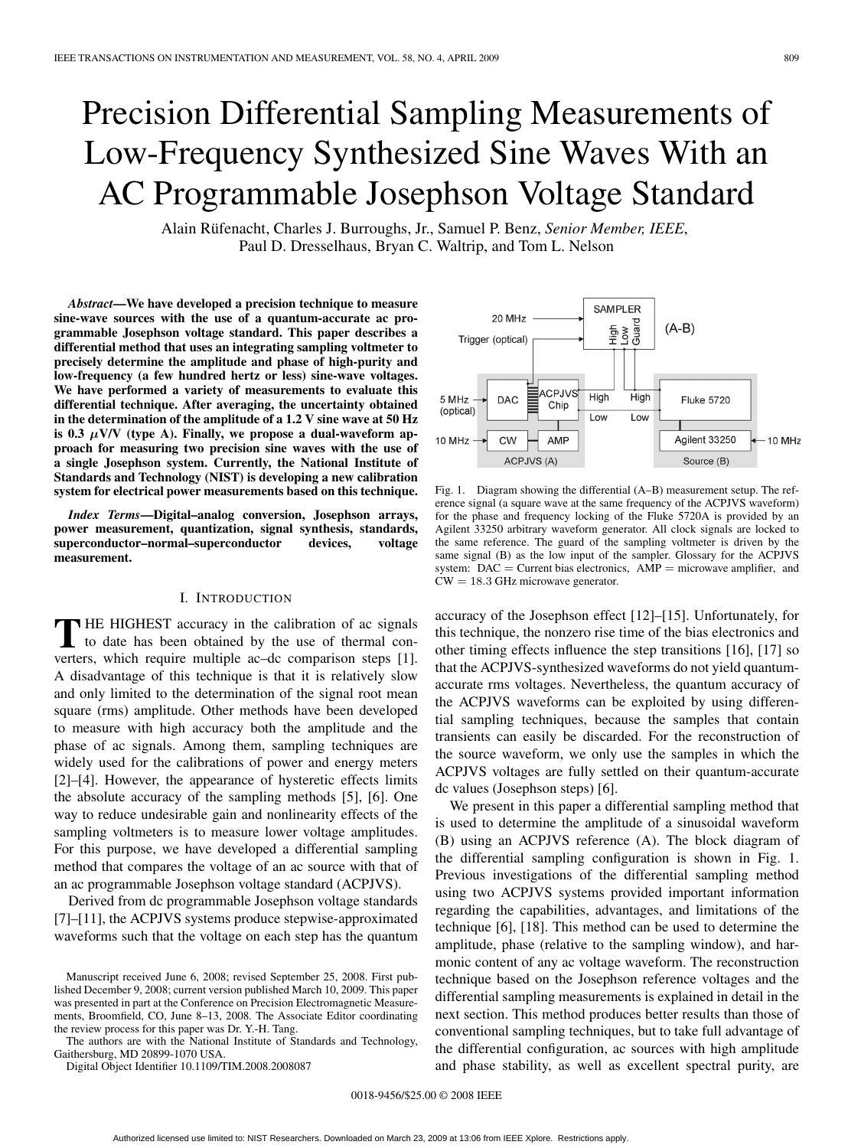# Precision Differential Sampling Measurements of Low-Frequency Synthesized Sine Waves With an AC Programmable Josephson Voltage Standard

Alain Rüfenacht, Charles J. Burroughs, Jr., Samuel P. Benz, *Senior Member, IEEE*, Paul D. Dresselhaus, Bryan C. Waltrip, and Tom L. Nelson

*Abstract***—We have developed a precision technique to measure sine-wave sources with the use of a quantum-accurate ac programmable Josephson voltage standard. This paper describes a differential method that uses an integrating sampling voltmeter to precisely determine the amplitude and phase of high-purity and low-frequency (a few hundred hertz or less) sine-wave voltages. We have performed a variety of measurements to evaluate this differential technique. After averaging, the uncertainty obtained in the determination of the amplitude of a 1.2 V sine wave at 50 Hz** is 0.3  $\mu$ V/V (type A). Finally, we propose a dual-waveform ap**proach for measuring two precision sine waves with the use of a single Josephson system. Currently, the National Institute of Standards and Technology (NIST) is developing a new calibration system for electrical power measurements based on this technique.**

*Index Terms***—Digital–analog conversion, Josephson arrays, power measurement, quantization, signal synthesis, standards, superconductor–normal–superconductor devices, voltage measurement.**

## I. INTRODUCTION

**T** HE HIGHEST accuracy in the calibration of ac signals to date has been obtained by the use of thermal converters, which require multiple ac–dc comparison steps [1]. A disadvantage of this technique is that it is relatively slow and only limited to the determination of the signal root mean square (rms) amplitude. Other methods have been developed to measure with high accuracy both the amplitude and the phase of ac signals. Among them, sampling techniques are widely used for the calibrations of power and energy meters [2]–[4]. However, the appearance of hysteretic effects limits the absolute accuracy of the sampling methods [5], [6]. One way to reduce undesirable gain and nonlinearity effects of the sampling voltmeters is to measure lower voltage amplitudes. For this purpose, we have developed a differential sampling method that compares the voltage of an ac source with that of an ac programmable Josephson voltage standard (ACPJVS).

Derived from dc programmable Josephson voltage standards [7]–[11], the ACPJVS systems produce stepwise-approximated waveforms such that the voltage on each step has the quantum

The authors are with the National Institute of Standards and Technology, Gaithersburg, MD 20899-1070 USA.

Digital Object Identifier 10.1109/TIM.2008.2008087

SAMPLER 20 MHz High<br>Low<br>Guard  $(A-B)$ Trigger (optical) num<br>T ACP.IVS High High 5 MHz DAC **Fluke 5720** Chip (optical) Low Low Agilent 33250 10 MHz CW AMP 10 MHz ACPJVS (A) Source (B)

Fig. 1. Diagram showing the differential (A–B) measurement setup. The reference signal (a square wave at the same frequency of the ACPJVS waveform) for the phase and frequency locking of the Fluke 5720A is provided by an Agilent 33250 arbitrary waveform generator. All clock signals are locked to the same reference. The guard of the sampling voltmeter is driven by the same signal (B) as the low input of the sampler. Glossary for the ACPJVS system:  $DAC = Current bias electronics$ ,  $AMP = microwave amplifier$ , and  $CW = 18.3$  GHz microwave generator.

accuracy of the Josephson effect [12]–[15]. Unfortunately, for this technique, the nonzero rise time of the bias electronics and other timing effects influence the step transitions [16], [17] so that the ACPJVS-synthesized waveforms do not yield quantumaccurate rms voltages. Nevertheless, the quantum accuracy of the ACPJVS waveforms can be exploited by using differential sampling techniques, because the samples that contain transients can easily be discarded. For the reconstruction of the source waveform, we only use the samples in which the ACPJVS voltages are fully settled on their quantum-accurate dc values (Josephson steps) [6].

We present in this paper a differential sampling method that is used to determine the amplitude of a sinusoidal waveform (B) using an ACPJVS reference (A). The block diagram of the differential sampling configuration is shown in Fig. 1. Previous investigations of the differential sampling method using two ACPJVS systems provided important information regarding the capabilities, advantages, and limitations of the technique [6], [18]. This method can be used to determine the amplitude, phase (relative to the sampling window), and harmonic content of any ac voltage waveform. The reconstruction technique based on the Josephson reference voltages and the differential sampling measurements is explained in detail in the next section. This method produces better results than those of conventional sampling techniques, but to take full advantage of the differential configuration, ac sources with high amplitude and phase stability, as well as excellent spectral purity, are

0018-9456/\$25.00 © 2008 IEEE

Manuscript received June 6, 2008; revised September 25, 2008. First published December 9, 2008; current version published March 10, 2009. This paper was presented in part at the Conference on Precision Electromagnetic Measurements, Broomfield, CO, June 8–13, 2008. The Associate Editor coordinating the review process for this paper was Dr. Y.-H. Tang.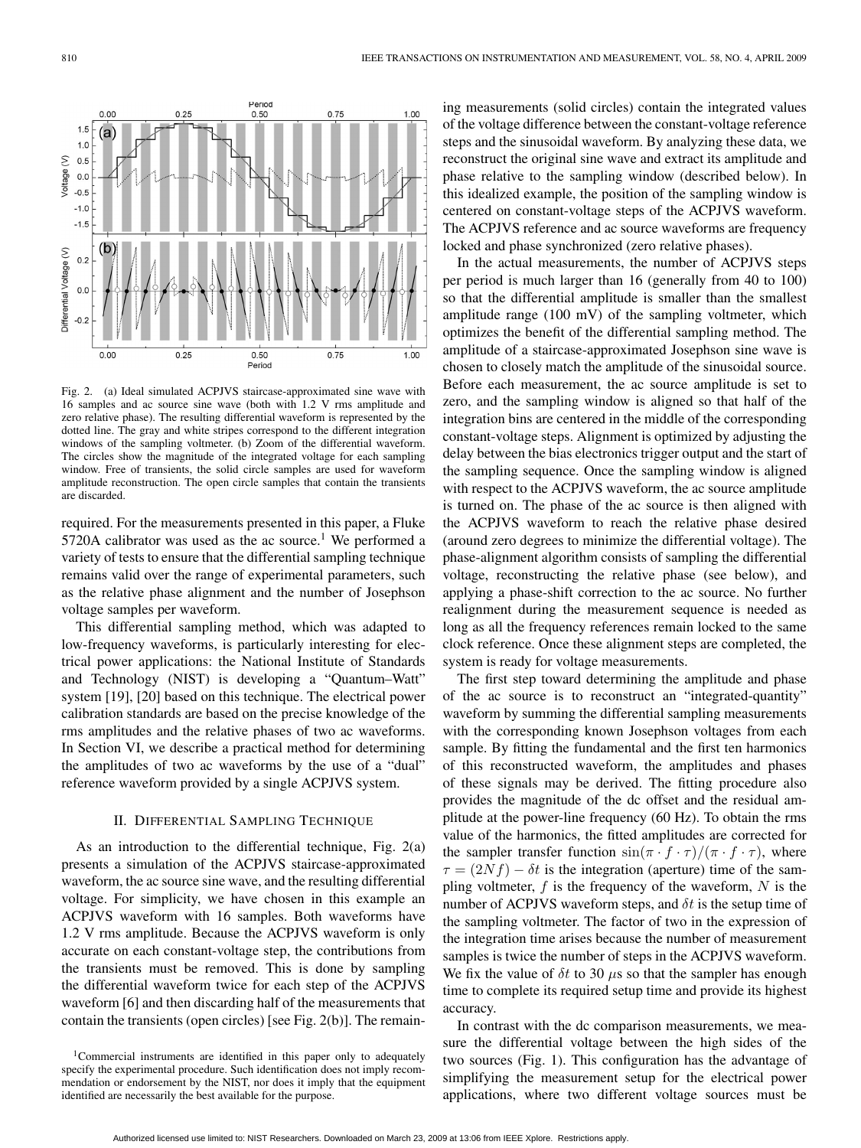

Fig. 2. (a) Ideal simulated ACPJVS staircase-approximated sine wave with 16 samples and ac source sine wave (both with 1.2 V rms amplitude and zero relative phase). The resulting differential waveform is represented by the dotted line. The gray and white stripes correspond to the different integration windows of the sampling voltmeter. (b) Zoom of the differential waveform. The circles show the magnitude of the integrated voltage for each sampling window. Free of transients, the solid circle samples are used for waveform amplitude reconstruction. The open circle samples that contain the transients are discarded.

required. For the measurements presented in this paper, a Fluke 5720A calibrator was used as the ac source.<sup>1</sup> We performed a variety of tests to ensure that the differential sampling technique remains valid over the range of experimental parameters, such as the relative phase alignment and the number of Josephson voltage samples per waveform.

This differential sampling method, which was adapted to low-frequency waveforms, is particularly interesting for electrical power applications: the National Institute of Standards and Technology (NIST) is developing a "Quantum–Watt" system [19], [20] based on this technique. The electrical power calibration standards are based on the precise knowledge of the rms amplitudes and the relative phases of two ac waveforms. In Section VI, we describe a practical method for determining the amplitudes of two ac waveforms by the use of a "dual" reference waveform provided by a single ACPJVS system.

# II. DIFFERENTIAL SAMPLING TECHNIQUE

As an introduction to the differential technique, Fig. 2(a) presents a simulation of the ACPJVS staircase-approximated waveform, the ac source sine wave, and the resulting differential voltage. For simplicity, we have chosen in this example an ACPJVS waveform with 16 samples. Both waveforms have 1.2 V rms amplitude. Because the ACPJVS waveform is only accurate on each constant-voltage step, the contributions from the transients must be removed. This is done by sampling the differential waveform twice for each step of the ACPJVS waveform [6] and then discarding half of the measurements that contain the transients (open circles) [see Fig. 2(b)]. The remaining measurements (solid circles) contain the integrated values of the voltage difference between the constant-voltage reference steps and the sinusoidal waveform. By analyzing these data, we reconstruct the original sine wave and extract its amplitude and phase relative to the sampling window (described below). In this idealized example, the position of the sampling window is centered on constant-voltage steps of the ACPJVS waveform. The ACPJVS reference and ac source waveforms are frequency locked and phase synchronized (zero relative phases).

In the actual measurements, the number of ACPJVS steps per period is much larger than 16 (generally from 40 to 100) so that the differential amplitude is smaller than the smallest amplitude range (100 mV) of the sampling voltmeter, which optimizes the benefit of the differential sampling method. The amplitude of a staircase-approximated Josephson sine wave is chosen to closely match the amplitude of the sinusoidal source. Before each measurement, the ac source amplitude is set to zero, and the sampling window is aligned so that half of the integration bins are centered in the middle of the corresponding constant-voltage steps. Alignment is optimized by adjusting the delay between the bias electronics trigger output and the start of the sampling sequence. Once the sampling window is aligned with respect to the ACPJVS waveform, the ac source amplitude is turned on. The phase of the ac source is then aligned with the ACPJVS waveform to reach the relative phase desired (around zero degrees to minimize the differential voltage). The phase-alignment algorithm consists of sampling the differential voltage, reconstructing the relative phase (see below), and applying a phase-shift correction to the ac source. No further realignment during the measurement sequence is needed as long as all the frequency references remain locked to the same clock reference. Once these alignment steps are completed, the system is ready for voltage measurements.

The first step toward determining the amplitude and phase of the ac source is to reconstruct an "integrated-quantity" waveform by summing the differential sampling measurements with the corresponding known Josephson voltages from each sample. By fitting the fundamental and the first ten harmonics of this reconstructed waveform, the amplitudes and phases of these signals may be derived. The fitting procedure also provides the magnitude of the dc offset and the residual amplitude at the power-line frequency (60 Hz). To obtain the rms value of the harmonics, the fitted amplitudes are corrected for the sampler transfer function  $\sin(\pi \cdot f \cdot \tau)/(\pi \cdot f \cdot \tau)$ , where  $\tau = (2Nf) - \delta t$  is the integration (aperture) time of the sampling voltmeter,  $f$  is the frequency of the waveform,  $N$  is the number of ACPJVS waveform steps, and  $\delta t$  is the setup time of the sampling voltmeter. The factor of two in the expression of the integration time arises because the number of measurement samples is twice the number of steps in the ACPJVS waveform. We fix the value of  $\delta t$  to 30  $\mu$ s so that the sampler has enough time to complete its required setup time and provide its highest accuracy.

In contrast with the dc comparison measurements, we measure the differential voltage between the high sides of the two sources (Fig. 1). This configuration has the advantage of simplifying the measurement setup for the electrical power applications, where two different voltage sources must be

<sup>&</sup>lt;sup>1</sup>Commercial instruments are identified in this paper only to adequately specify the experimental procedure. Such identification does not imply recommendation or endorsement by the NIST, nor does it imply that the equipment identified are necessarily the best available for the purpose.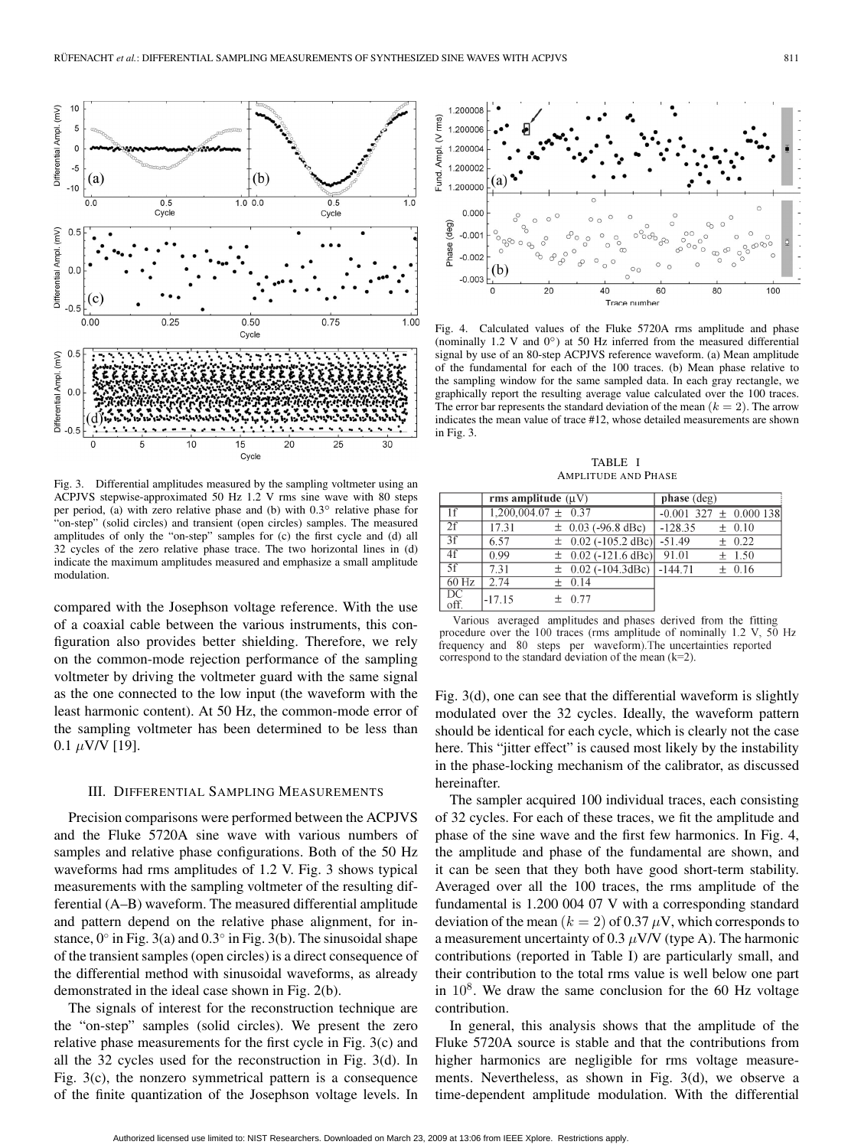

Fig. 3. Differential amplitudes measured by the sampling voltmeter using an ACPJVS stepwise-approximated 50 Hz 1.2 V rms sine wave with 80 steps per period, (a) with zero relative phase and (b) with 0.3° relative phase for "on-step" (solid circles) and transient (open circles) samples. The measured amplitudes of only the "on-step" samples for (c) the first cycle and (d) all 32 cycles of the zero relative phase trace. The two horizontal lines in (d) indicate the maximum amplitudes measured and emphasize a small amplitude modulation.

compared with the Josephson voltage reference. With the use of a coaxial cable between the various instruments, this configuration also provides better shielding. Therefore, we rely on the common-mode rejection performance of the sampling voltmeter by driving the voltmeter guard with the same signal as the one connected to the low input (the waveform with the least harmonic content). At 50 Hz, the common-mode error of the sampling voltmeter has been determined to be less than 0.1  $\mu$ V/V [19].

#### III. DIFFERENTIAL SAMPLING MEASUREMENTS

Precision comparisons were performed between the ACPJVS and the Fluke 5720A sine wave with various numbers of samples and relative phase configurations. Both of the 50 Hz waveforms had rms amplitudes of 1.2 V. Fig. 3 shows typical measurements with the sampling voltmeter of the resulting differential (A–B) waveform. The measured differential amplitude and pattern depend on the relative phase alignment, for instance,  $0^\circ$  in Fig. 3(a) and  $0.3^\circ$  in Fig. 3(b). The sinusoidal shape of the transient samples (open circles) is a direct consequence of the differential method with sinusoidal waveforms, as already demonstrated in the ideal case shown in Fig. 2(b).

The signals of interest for the reconstruction technique are the "on-step" samples (solid circles). We present the zero relative phase measurements for the first cycle in Fig. 3(c) and all the 32 cycles used for the reconstruction in Fig. 3(d). In Fig. 3(c), the nonzero symmetrical pattern is a consequence of the finite quantization of the Josephson voltage levels. In



Fig. 4. Calculated values of the Fluke 5720A rms amplitude and phase (nominally 1.2 V and  $0°$ ) at 50 Hz inferred from the measured differential signal by use of an 80-step ACPJVS reference waveform. (a) Mean amplitude of the fundamental for each of the 100 traces. (b) Mean phase relative to the sampling window for the same sampled data. In each gray rectangle, we graphically report the resulting average value calculated over the 100 traces. The error bar represents the standard deviation of the mean  $(k = 2)$ . The arrow indicates the mean value of trace #12, whose detailed measurements are shown in Fig. 3.

TABLE I AMPLITUDE AND PHASE

|                 | rms amplitude $(uV)$    |  |                         | $phase (deg)$                |  |            |
|-----------------|-------------------------|--|-------------------------|------------------------------|--|------------|
| $\overline{1f}$ | $1,200,004.07 \pm 0.37$ |  |                         | $-0.001$ 327 $\pm$ 0.000 138 |  |            |
| $\overline{2f}$ | 17.31                   |  | $\pm$ 0.03 (-96.8 dBc)  | $-128.35$                    |  | $\pm$ 0.10 |
| $\overline{3f}$ | 6.57                    |  | $\pm$ 0.02 (-105.2 dBc) | $-51.49$                     |  | $\pm$ 0.22 |
| $\overline{4f}$ | 0.99                    |  | $\pm$ 0.02 (-121.6 dBc) | 91.01                        |  | $\pm$ 1.50 |
| 5f              | 731                     |  | $\pm$ 0.02 (-104.3dBc)  | $-144.71$                    |  | $\pm$ 0.16 |
| $60$ Hz         | 2.74                    |  | $\pm$ 0.14              |                              |  |            |
| DC<br>off.      | $-17.15$                |  | $\pm$ 0.77              |                              |  |            |

Various averaged amplitudes and phases derived from the fitting procedure over the 100 traces (rms amplitude of nominally 1.2 V, 50 Hz frequency and 80 steps per waveform). The uncertainties reported correspond to the standard deviation of the mean  $(k=2)$ .

Fig. 3(d), one can see that the differential waveform is slightly modulated over the 32 cycles. Ideally, the waveform pattern should be identical for each cycle, which is clearly not the case here. This "jitter effect" is caused most likely by the instability in the phase-locking mechanism of the calibrator, as discussed hereinafter.

The sampler acquired 100 individual traces, each consisting of 32 cycles. For each of these traces, we fit the amplitude and phase of the sine wave and the first few harmonics. In Fig. 4, the amplitude and phase of the fundamental are shown, and it can be seen that they both have good short-term stability. Averaged over all the 100 traces, the rms amplitude of the fundamental is 1.200 004 07 V with a corresponding standard deviation of the mean  $(k = 2)$  of 0.37  $\mu$ V, which corresponds to a measurement uncertainty of 0.3  $\mu$ V/V (type A). The harmonic contributions (reported in Table I) are particularly small, and their contribution to the total rms value is well below one part in  $10^8$ . We draw the same conclusion for the 60 Hz voltage contribution.

In general, this analysis shows that the amplitude of the Fluke 5720A source is stable and that the contributions from higher harmonics are negligible for rms voltage measurements. Nevertheless, as shown in Fig. 3(d), we observe a time-dependent amplitude modulation. With the differential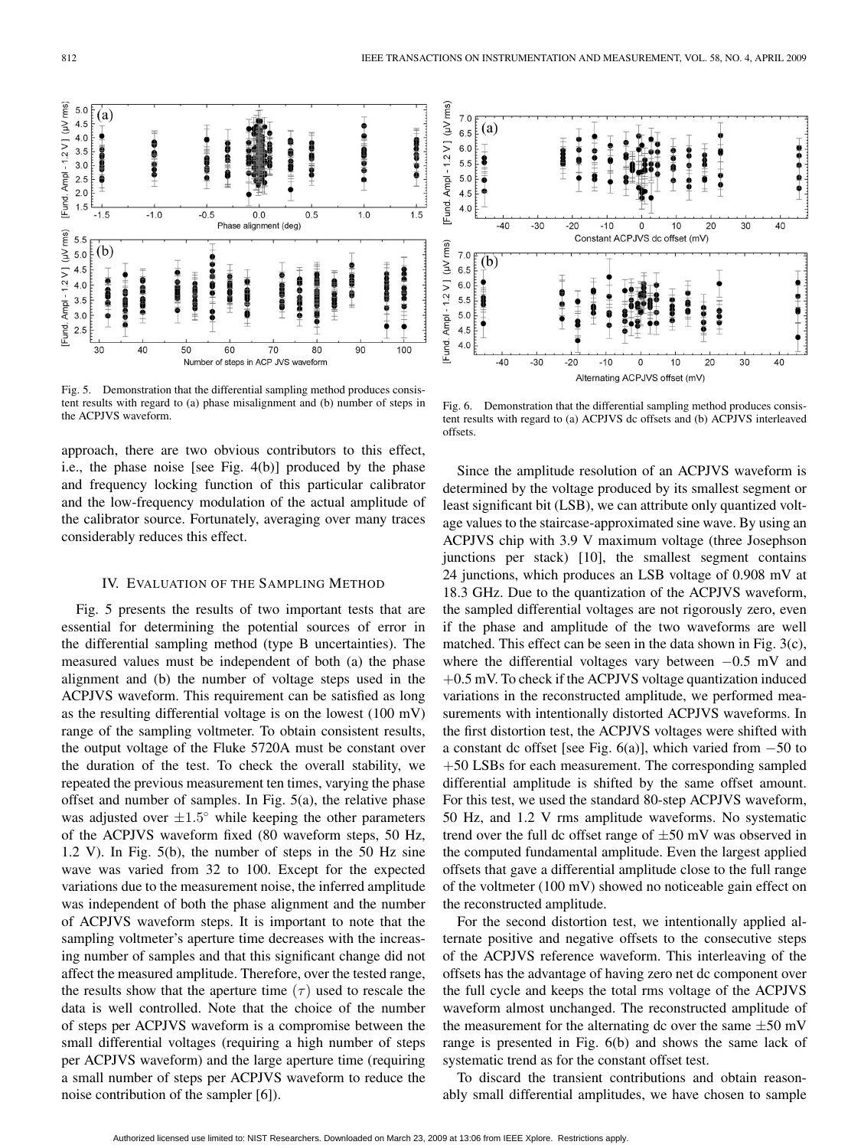$7.0$ 

 $6.0$ 

 $5.5$ 

 $5.0$ 

 $4.5$ 

 $4.0$ 

 $7.0$  $(b)$ 

6.5

 $6.0$ 

 $5.5$ 

 $5.0$ 

 $4.5$ 

 $4.0$ 

 $(a)$  $6.5$ 

 $-40$ 

 $-40$ 

 $-30$ 

 $-30$ 

 $-20$ 

 $-20$ 

 $-10$ 

 $-10$ 

 $\overline{0}$ 

Constant ACPJVS dc offset (mV)

 $\mathbf 0$ Alternating ACPJVS offset (mV)

 $10$ 

 $10$ 

20

20

30

30

40

40

Fig. 5. Demonstration that the differential sampling method produces consistent results with regard to (a) phase misalignment and (b) number of steps in the ACPJVS waveform.

approach, there are two obvious contributors to this effect, i.e., the phase noise [see Fig. 4(b)] produced by the phase and frequency locking function of this particular calibrator and the low-frequency modulation of the actual amplitude of the calibrator source. Fortunately, averaging over many traces considerably reduces this effect.

#### IV. EVALUATION OF THE SAMPLING METHOD

Fig. 5 presents the results of two important tests that are essential for determining the potential sources of error in the differential sampling method (type B uncertainties). The measured values must be independent of both (a) the phase alignment and (b) the number of voltage steps used in the ACPJVS waveform. This requirement can be satisfied as long as the resulting differential voltage is on the lowest (100 mV) range of the sampling voltmeter. To obtain consistent results, the output voltage of the Fluke 5720A must be constant over the duration of the test. To check the overall stability, we repeated the previous measurement ten times, varying the phase offset and number of samples. In Fig. 5(a), the relative phase was adjusted over  $\pm 1.5^\circ$  while keeping the other parameters of the ACPJVS waveform fixed (80 waveform steps, 50 Hz, 1.2 V). In Fig. 5(b), the number of steps in the 50 Hz sine wave was varied from 32 to 100. Except for the expected variations due to the measurement noise, the inferred amplitude was independent of both the phase alignment and the number of ACPJVS waveform steps. It is important to note that the sampling voltmeter's aperture time decreases with the increasing number of samples and that this significant change did not affect the measured amplitude. Therefore, over the tested range, the results show that the aperture time  $(\tau)$  used to rescale the data is well controlled. Note that the choice of the number of steps per ACPJVS waveform is a compromise between the small differential voltages (requiring a high number of steps per ACPJVS waveform) and the large aperture time (requiring a small number of steps per ACPJVS waveform to reduce the noise contribution of the sampler [6]).



Since the amplitude resolution of an ACPJVS waveform is determined by the voltage produced by its smallest segment or least significant bit (LSB), we can attribute only quantized voltage values to the staircase-approximated sine wave. By using an ACPJVS chip with 3.9 V maximum voltage (three Josephson junctions per stack) [10], the smallest segment contains 24 junctions, which produces an LSB voltage of 0.908 mV at 18.3 GHz. Due to the quantization of the ACPJVS waveform, the sampled differential voltages are not rigorously zero, even if the phase and amplitude of the two waveforms are well matched. This effect can be seen in the data shown in Fig. 3(c), where the differential voltages vary between −0.5 mV and +0.5 mV. To check if the ACPJVS voltage quantization induced variations in the reconstructed amplitude, we performed measurements with intentionally distorted ACPJVS waveforms. In the first distortion test, the ACPJVS voltages were shifted with a constant dc offset [see Fig. 6(a)], which varied from  $-50$  to +50 LSBs for each measurement. The corresponding sampled differential amplitude is shifted by the same offset amount. For this test, we used the standard 80-step ACPJVS waveform, 50 Hz, and 1.2 V rms amplitude waveforms. No systematic trend over the full dc offset range of  $\pm 50$  mV was observed in the computed fundamental amplitude. Even the largest applied offsets that gave a differential amplitude close to the full range of the voltmeter (100 mV) showed no noticeable gain effect on the reconstructed amplitude.

For the second distortion test, we intentionally applied alternate positive and negative offsets to the consecutive steps of the ACPJVS reference waveform. This interleaving of the offsets has the advantage of having zero net dc component over the full cycle and keeps the total rms voltage of the ACPJVS waveform almost unchanged. The reconstructed amplitude of the measurement for the alternating dc over the same  $\pm 50$  mV range is presented in Fig. 6(b) and shows the same lack of systematic trend as for the constant offset test.

To discard the transient contributions and obtain reasonably small differential amplitudes, we have chosen to sample

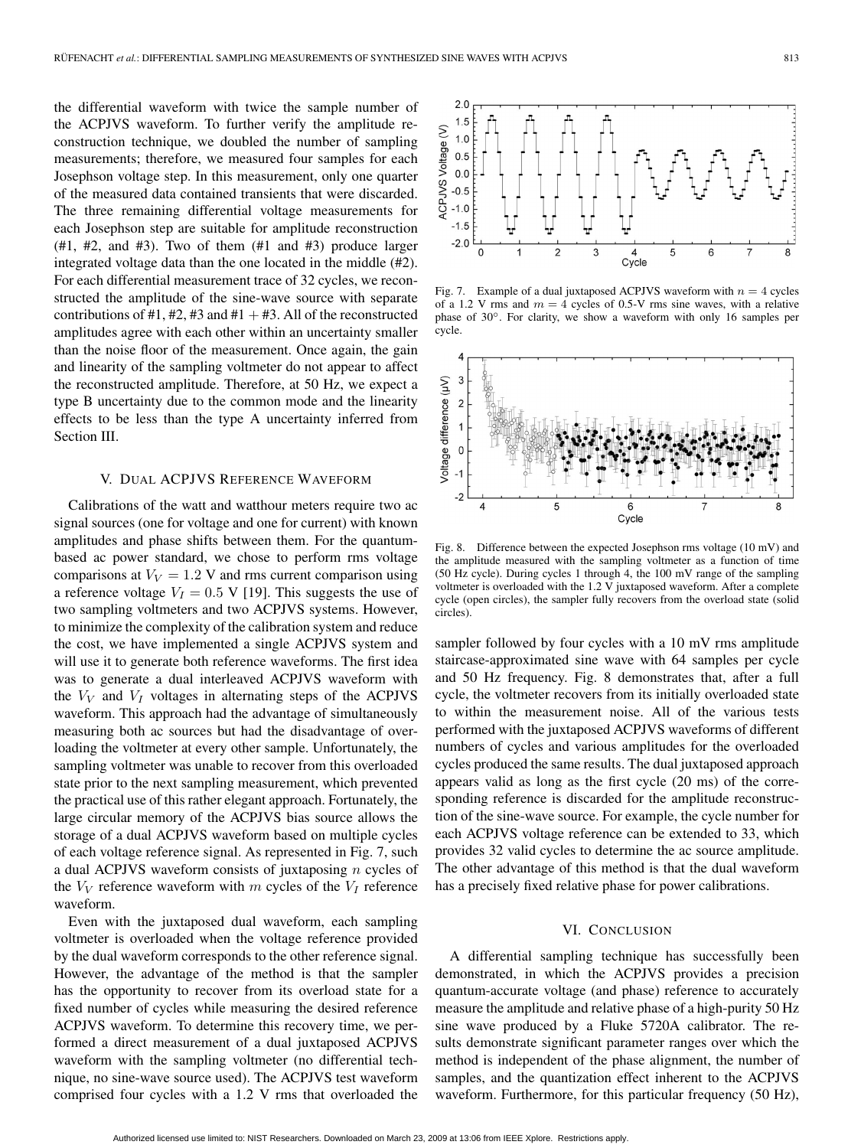the differential waveform with twice the sample number of the ACPJVS waveform. To further verify the amplitude reconstruction technique, we doubled the number of sampling measurements; therefore, we measured four samples for each Josephson voltage step. In this measurement, only one quarter of the measured data contained transients that were discarded. The three remaining differential voltage measurements for each Josephson step are suitable for amplitude reconstruction (#1,  $#2$ , and  $#3$ ). Two of them  $(H1$  and  $#3)$  produce larger integrated voltage data than the one located in the middle (#2). For each differential measurement trace of 32 cycles, we reconstructed the amplitude of the sine-wave source with separate contributions of #1, #2, #3 and #1  $+$  #3. All of the reconstructed amplitudes agree with each other within an uncertainty smaller than the noise floor of the measurement. Once again, the gain and linearity of the sampling voltmeter do not appear to affect the reconstructed amplitude. Therefore, at 50 Hz, we expect a type B uncertainty due to the common mode and the linearity effects to be less than the type A uncertainty inferred from Section III.

#### V. DUAL ACPJVS REFERENCE WAVEFORM

Calibrations of the watt and watthour meters require two ac signal sources (one for voltage and one for current) with known amplitudes and phase shifts between them. For the quantumbased ac power standard, we chose to perform rms voltage comparisons at  $V_V = 1.2$  V and rms current comparison using a reference voltage  $V_I = 0.5$  V [19]. This suggests the use of two sampling voltmeters and two ACPJVS systems. However, to minimize the complexity of the calibration system and reduce the cost, we have implemented a single ACPJVS system and will use it to generate both reference waveforms. The first idea was to generate a dual interleaved ACPJVS waveform with the  $V_V$  and  $V_I$  voltages in alternating steps of the ACPJVS waveform. This approach had the advantage of simultaneously measuring both ac sources but had the disadvantage of overloading the voltmeter at every other sample. Unfortunately, the sampling voltmeter was unable to recover from this overloaded state prior to the next sampling measurement, which prevented the practical use of this rather elegant approach. Fortunately, the large circular memory of the ACPJVS bias source allows the storage of a dual ACPJVS waveform based on multiple cycles of each voltage reference signal. As represented in Fig. 7, such a dual ACPJVS waveform consists of juxtaposing n cycles of the  $V_V$  reference waveform with m cycles of the  $V_I$  reference waveform.

Even with the juxtaposed dual waveform, each sampling voltmeter is overloaded when the voltage reference provided by the dual waveform corresponds to the other reference signal. However, the advantage of the method is that the sampler has the opportunity to recover from its overload state for a fixed number of cycles while measuring the desired reference ACPJVS waveform. To determine this recovery time, we performed a direct measurement of a dual juxtaposed ACPJVS waveform with the sampling voltmeter (no differential technique, no sine-wave source used). The ACPJVS test waveform comprised four cycles with a 1.2 V rms that overloaded the



Fig. 7. Example of a dual juxtaposed ACPJVS waveform with  $n = 4$  cycles of a 1.2 V rms and  $m = 4$  cycles of 0.5-V rms sine waves, with a relative phase of 30◦. For clarity, we show a waveform with only 16 samples per cycle.



Fig. 8. Difference between the expected Josephson rms voltage (10 mV) and the amplitude measured with the sampling voltmeter as a function of time (50 Hz cycle). During cycles 1 through 4, the 100 mV range of the sampling voltmeter is overloaded with the 1.2 V juxtaposed waveform. After a complete cycle (open circles), the sampler fully recovers from the overload state (solid circles).

sampler followed by four cycles with a 10 mV rms amplitude staircase-approximated sine wave with 64 samples per cycle and 50 Hz frequency. Fig. 8 demonstrates that, after a full cycle, the voltmeter recovers from its initially overloaded state to within the measurement noise. All of the various tests performed with the juxtaposed ACPJVS waveforms of different numbers of cycles and various amplitudes for the overloaded cycles produced the same results. The dual juxtaposed approach appears valid as long as the first cycle (20 ms) of the corresponding reference is discarded for the amplitude reconstruction of the sine-wave source. For example, the cycle number for each ACPJVS voltage reference can be extended to 33, which provides 32 valid cycles to determine the ac source amplitude. The other advantage of this method is that the dual waveform has a precisely fixed relative phase for power calibrations.

### VI. CONCLUSION

A differential sampling technique has successfully been demonstrated, in which the ACPJVS provides a precision quantum-accurate voltage (and phase) reference to accurately measure the amplitude and relative phase of a high-purity 50 Hz sine wave produced by a Fluke 5720A calibrator. The results demonstrate significant parameter ranges over which the method is independent of the phase alignment, the number of samples, and the quantization effect inherent to the ACPJVS waveform. Furthermore, for this particular frequency (50 Hz),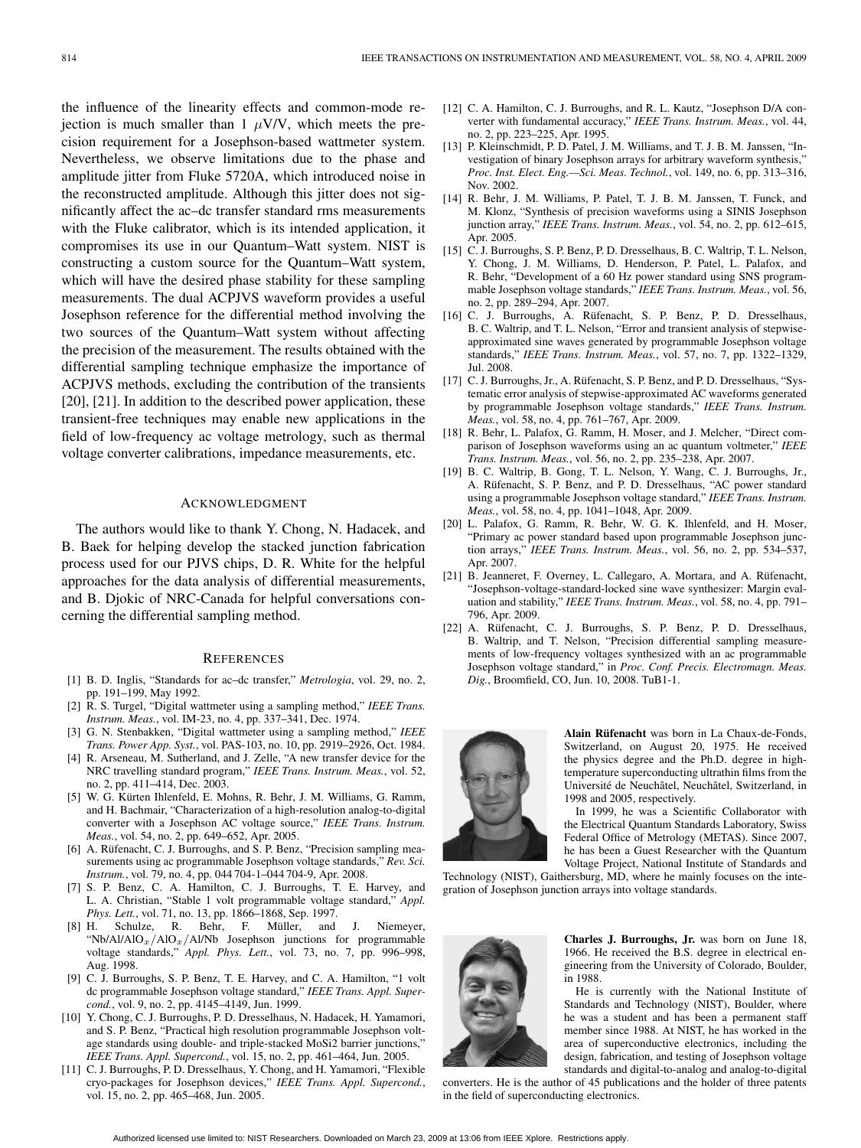the influence of the linearity effects and common-mode rejection is much smaller than 1  $\mu$ V/V, which meets the precision requirement for a Josephson-based wattmeter system. Nevertheless, we observe limitations due to the phase and amplitude jitter from Fluke 5720A, which introduced noise in the reconstructed amplitude. Although this jitter does not significantly affect the ac–dc transfer standard rms measurements with the Fluke calibrator, which is its intended application, it compromises its use in our Quantum–Watt system. NIST is constructing a custom source for the Quantum–Watt system, which will have the desired phase stability for these sampling measurements. The dual ACPJVS waveform provides a useful Josephson reference for the differential method involving the two sources of the Quantum–Watt system without affecting the precision of the measurement. The results obtained with the differential sampling technique emphasize the importance of ACPJVS methods, excluding the contribution of the transients [20], [21]. In addition to the described power application, these transient-free techniques may enable new applications in the field of low-frequency ac voltage metrology, such as thermal voltage converter calibrations, impedance measurements, etc.

#### ACKNOWLEDGMENT

The authors would like to thank Y. Chong, N. Hadacek, and B. Baek for helping develop the stacked junction fabrication process used for our PJVS chips, D. R. White for the helpful approaches for the data analysis of differential measurements, and B. Djokic of NRC-Canada for helpful conversations concerning the differential sampling method.

#### **REFERENCES**

- [1] B. D. Inglis, "Standards for ac–dc transfer," *Metrologia*, vol. 29, no. 2, pp. 191–199, May 1992.
- [2] R. S. Turgel, "Digital wattmeter using a sampling method," *IEEE Trans. Instrum. Meas.*, vol. IM-23, no. 4, pp. 337–341, Dec. 1974.
- [3] G. N. Stenbakken, "Digital wattmeter using a sampling method," *IEEE Trans. Power App. Syst.*, vol. PAS-103, no. 10, pp. 2919–2926, Oct. 1984.
- [4] R. Arseneau, M. Sutherland, and J. Zelle, "A new transfer device for the NRC travelling standard program," *IEEE Trans. Instrum. Meas.*, vol. 52, no. 2, pp. 411–414, Dec. 2003.
- [5] W. G. Kürten Ihlenfeld, E. Mohns, R. Behr, J. M. Williams, G. Ramm, and H. Bachmair, "Characterization of a high-resolution analog-to-digital converter with a Josephson AC voltage source," *IEEE Trans. Instrum. Meas.*, vol. 54, no. 2, pp. 649–652, Apr. 2005.
- [6] A. Rüfenacht, C. J. Burroughs, and S. P. Benz, "Precision sampling measurements using ac programmable Josephson voltage standards," *Rev. Sci. Instrum.*, vol. 79, no. 4, pp. 044 704-1–044 704-9, Apr. 2008.
- [7] S. P. Benz, C. A. Hamilton, C. J. Burroughs, T. E. Harvey, and L. A. Christian, "Stable 1 volt programmable voltage standard," *Appl. Phys. Lett.*, vol. 71, no. 13, pp. 1866–1868, Sep. 1997.
- [8] H. Schulze, R. Behr, F. Müller, and J. Niemeyer, "Nb/Al/AlO<sub>x</sub>/AlO<sub>x</sub>/Al/Nb Josephson junctions for programmable voltage standards," *Appl. Phys. Lett.*, vol. 73, no. 7, pp. 996–998, Aug. 1998.
- [9] C. J. Burroughs, S. P. Benz, T. E. Harvey, and C. A. Hamilton, "1 volt dc programmable Josephson voltage standard," *IEEE Trans. Appl. Supercond.*, vol. 9, no. 2, pp. 4145–4149, Jun. 1999.
- [10] Y. Chong, C. J. Burroughs, P. D. Dresselhaus, N. Hadacek, H. Yamamori, and S. P. Benz, "Practical high resolution programmable Josephson voltage standards using double- and triple-stacked MoSi2 barrier junctions," *IEEE Trans. Appl. Supercond.*, vol. 15, no. 2, pp. 461–464, Jun. 2005.
- [11] C. J. Burroughs, P. D. Dresselhaus, Y. Chong, and H. Yamamori, "Flexible cryo-packages for Josephson devices," *IEEE Trans. Appl. Supercond.*, vol. 15, no. 2, pp. 465–468, Jun. 2005.
- [12] C. A. Hamilton, C. J. Burroughs, and R. L. Kautz, "Josephson D/A converter with fundamental accuracy," *IEEE Trans. Instrum. Meas.*, vol. 44, no. 2, pp. 223–225, Apr. 1995.
- [13] P. Kleinschmidt, P. D. Patel, J. M. Williams, and T. J. B. M. Janssen, "Investigation of binary Josephson arrays for arbitrary waveform synthesis,' *Proc. Inst. Elect. Eng.—Sci. Meas. Technol.*, vol. 149, no. 6, pp. 313–316, Nov. 2002.
- [14] R. Behr, J. M. Williams, P. Patel, T. J. B. M. Janssen, T. Funck, and M. Klonz, "Synthesis of precision waveforms using a SINIS Josephson junction array," *IEEE Trans. Instrum. Meas.*, vol. 54, no. 2, pp. 612–615, Apr. 2005.
- [15] C. J. Burroughs, S. P. Benz, P. D. Dresselhaus, B. C. Waltrip, T. L. Nelson, Y. Chong, J. M. Williams, D. Henderson, P. Patel, L. Palafox, and R. Behr, "Development of a 60 Hz power standard using SNS programmable Josephson voltage standards," *IEEE Trans. Instrum. Meas.*, vol. 56, no. 2, pp. 289–294, Apr. 2007.
- [16] C. J. Burroughs, A. Rüfenacht, S. P. Benz, P. D. Dresselhaus, B. C. Waltrip, and T. L. Nelson, "Error and transient analysis of stepwiseapproximated sine waves generated by programmable Josephson voltage standards," *IEEE Trans. Instrum. Meas.*, vol. 57, no. 7, pp. 1322–1329, Jul. 2008.
- [17] C. J. Burroughs, Jr., A. Rüfenacht, S. P. Benz, and P. D. Dresselhaus, "Systematic error analysis of stepwise-approximated AC waveforms generated by programmable Josephson voltage standards," *IEEE Trans. Instrum. Meas.*, vol. 58, no. 4, pp. 761–767, Apr. 2009.
- [18] R. Behr, L. Palafox, G. Ramm, H. Moser, and J. Melcher, "Direct comparison of Josephson waveforms using an ac quantum voltmeter," *IEEE Trans. Instrum. Meas.*, vol. 56, no. 2, pp. 235–238, Apr. 2007.
- [19] B. C. Waltrip, B. Gong, T. L. Nelson, Y. Wang, C. J. Burroughs, Jr., A. Rüfenacht, S. P. Benz, and P. D. Dresselhaus, "AC power standard using a programmable Josephson voltage standard," *IEEE Trans. Instrum. Meas.*, vol. 58, no. 4, pp. 1041–1048, Apr. 2009.
- [20] L. Palafox, G. Ramm, R. Behr, W. G. K. Ihlenfeld, and H. Moser, "Primary ac power standard based upon programmable Josephson junction arrays," *IEEE Trans. Instrum. Meas.*, vol. 56, no. 2, pp. 534–537, Apr. 2007.
- [21] B. Jeanneret, F. Overney, L. Callegaro, A. Mortara, and A. Rüfenacht, "Josephson-voltage-standard-locked sine wave synthesizer: Margin evaluation and stability," *IEEE Trans. Instrum. Meas.*, vol. 58, no. 4, pp. 791– 796, Apr. 2009.
- [22] A. Rüfenacht, C. J. Burroughs, S. P. Benz, P. D. Dresselhaus, B. Waltrip, and T. Nelson, "Precision differential sampling measurements of low-frequency voltages synthesized with an ac programmable Josephson voltage standard," in *Proc. Conf. Precis. Electromagn. Meas. Dig.*, Broomfield, CO, Jun. 10, 2008. TuB1-1.



**Alain Rüfenacht** was born in La Chaux-de-Fonds, Switzerland, on August 20, 1975. He received the physics degree and the Ph.D. degree in hightemperature superconducting ultrathin films from the Université de Neuchâtel, Neuchâtel, Switzerland, in 1998 and 2005, respectively.

In 1999, he was a Scientific Collaborator with the Electrical Quantum Standards Laboratory, Swiss Federal Office of Metrology (METAS). Since 2007, he has been a Guest Researcher with the Quantum Voltage Project, National Institute of Standards and

Technology (NIST), Gaithersburg, MD, where he mainly focuses on the integration of Josephson junction arrays into voltage standards.



**Charles J. Burroughs, Jr.** was born on June 18, 1966. He received the B.S. degree in electrical engineering from the University of Colorado, Boulder, in 1988.

He is currently with the National Institute of Standards and Technology (NIST), Boulder, where he was a student and has been a permanent staff member since 1988. At NIST, he has worked in the area of superconductive electronics, including the design, fabrication, and testing of Josephson voltage standards and digital-to-analog and analog-to-digital

converters. He is the author of 45 publications and the holder of three patents in the field of superconducting electronics.